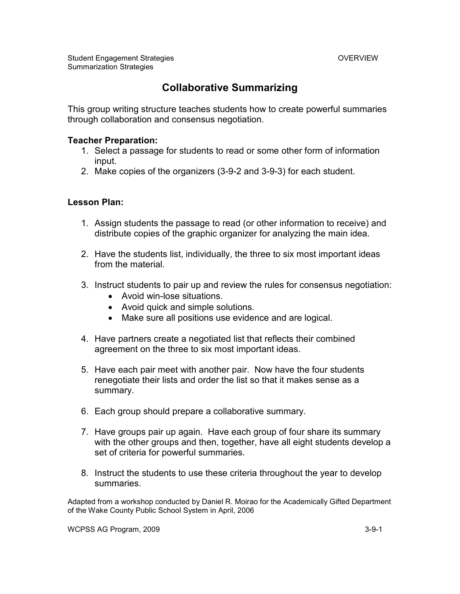### **Collaborative Summarizing**

This group writing structure teaches students how to create powerful summaries through collaboration and consensus negotiation.

#### **Teacher Preparation:**

- 1. Select a passage for students to read or some other form of information input.
- 2. Make copies of the organizers (3-9-2 and 3-9-3) for each student.

#### **Lesson Plan:**

- 1. Assign students the passage to read (or other information to receive) and distribute copies of the graphic organizer for analyzing the main idea.
- 2. Have the students list, individually, the three to six most important ideas from the material.
- 3. Instruct students to pair up and review the rules for consensus negotiation:
	- Avoid win-lose situations.
	- Avoid quick and simple solutions.
	- Make sure all positions use evidence and are logical.
- 4. Have partners create a negotiated list that reflects their combined agreement on the three to six most important ideas.
- 5. Have each pair meet with another pair. Now have the four students renegotiate their lists and order the list so that it makes sense as a summary.
- 6. Each group should prepare a collaborative summary.
- 7. Have groups pair up again. Have each group of four share its summary with the other groups and then, together, have all eight students develop a set of criteria for powerful summaries.
- 8. Instruct the students to use these criteria throughout the year to develop summaries.

Adapted from a workshop conducted by Daniel R. Moirao for the Academically Gifted Department of the Wake County Public School System in April, 2006

WCPSS AG Program, 2009 3-9-1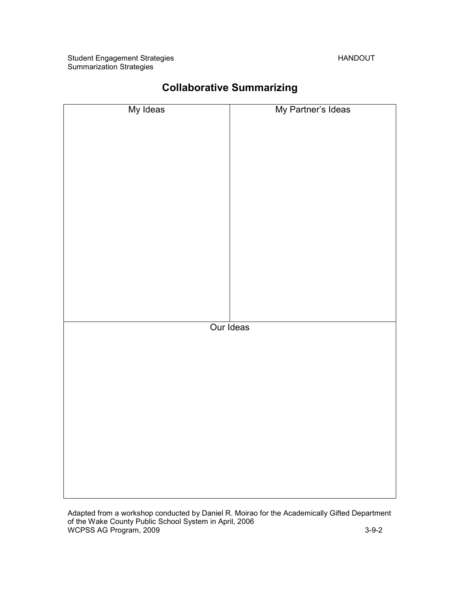Student Engagement Strategies **HANDOUT** Summarization Strategies

| My Ideas  | My Partner's Ideas |
|-----------|--------------------|
|           |                    |
|           |                    |
|           |                    |
|           |                    |
|           |                    |
|           |                    |
|           |                    |
|           |                    |
|           |                    |
|           |                    |
|           |                    |
|           |                    |
| Our Ideas |                    |
|           |                    |
|           |                    |
|           |                    |
|           |                    |
|           |                    |
|           |                    |
|           |                    |
|           |                    |
|           |                    |
|           |                    |

## **Collaborative Summarizing**

Adapted from a workshop conducted by Daniel R. Moirao for the Academically Gifted Department of the Wake County Public School System in April, 2006 WCPSS AG Program, 2009